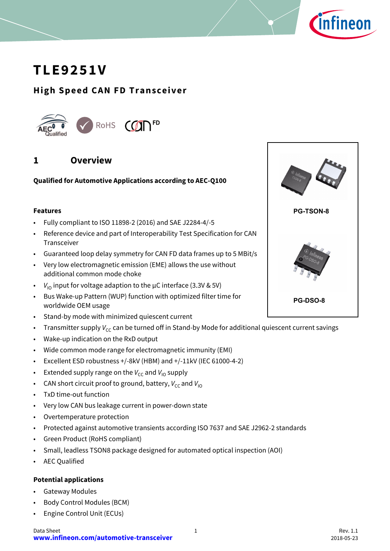

# **TLE9251V**

## **High Speed CAN FD Transceiver**



## <span id="page-0-0"></span>**1 Overview**

### **Qualified for Automotive Applications according to AEC-Q100**

### **Features**

- Fully compliant to ISO 11898-2 (2016) and SAE J2284-4/-5
- Reference device and part of Interoperability Test Specification for CAN **Transceiver**
- Guaranteed loop delay symmetry for CAN FD data frames up to 5 MBit/s
- Very low electromagnetic emission (EME) allows the use without additional common mode choke
- $V_{10}$  input for voltage adaption to the  $\mu$ C interface (3.3V & 5V)
- Bus Wake-up Pattern (WUP) function with optimized filter time for worldwide OEM usage
- Stand-by mode with minimized quiescent current
- Transmitter supply *V<sub>CC</sub>* can be turned off in Stand-by Mode for additional quiescent current savings
- Wake-up indication on the RxD output
- Wide common mode range for electromagnetic immunity (EMI)
- Excellent ESD robustness +/-8kV (HBM) and +/-11kV (IEC 61000-4-2)
- Extended supply range on the  $V_{cc}$  and  $V_{10}$  supply
- CAN short circuit proof to ground, battery,  $V_{cc}$  and  $V_{10}$
- TxD time-out function
- Very low CAN bus leakage current in power-down state
- Overtemperature protection
- Protected against automotive transients according ISO 7637 and SAE J2962-2 standards
- Green Product (RoHS compliant)
- Small, leadless TSON8 package designed for automated optical inspection (AOI)
- **AEC Qualified**

#### **Potential applications**

- Gateway Modules
- Body Control Modules (BCM)
- Engine Control Unit (ECUs)

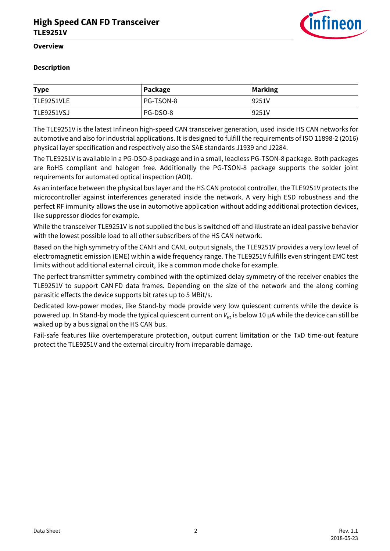

#### **Overview**

### **Description**

| <b>Type</b> | Package   | <b>Marking</b> |
|-------------|-----------|----------------|
| TLE9251VLE  | PG-TSON-8 | 9251V          |
| TLE9251VSJ  | PG-DSO-8  | 9251V          |

The TLE9251V is the latest Infineon high-speed CAN transceiver generation, used inside HS CAN networks for automotive and also for industrial applications. It is designed to fulfill the requirements of ISO 11898-2 (2016) physical layer specification and respectively also the SAE standards J1939 and J2284.

The TLE9251V is available in a PG-DSO-8 package and in a small, leadless PG-TSON-8 package. Both packages are RoHS compliant and halogen free. Additionally the PG-TSON-8 package supports the solder joint requirements for automated optical inspection (AOI).

As an interface between the physical bus layer and the HS CAN protocol controller, the TLE9251V protects the microcontroller against interferences generated inside the network. A very high ESD robustness and the perfect RF immunity allows the use in automotive application without adding additional protection devices, like suppressor diodes for example.

While the transceiver TLE9251V is not supplied the bus is switched off and illustrate an ideal passive behavior with the lowest possible load to all other subscribers of the HS CAN network.

Based on the high symmetry of the CANH and CANL output signals, the TLE9251V provides a very low level of electromagnetic emission (EME) within a wide frequency range. The TLE9251V fulfills even stringent EMC test limits without additional external circuit, like a common mode choke for example.

The perfect transmitter symmetry combined with the optimized delay symmetry of the receiver enables the TLE9251V to support CAN FD data frames. Depending on the size of the network and the along coming parasitic effects the device supports bit rates up to 5 MBit/s.

Dedicated low-power modes, like Stand-by mode provide very low quiescent currents while the device is powered up. In Stand-by mode the typical quiescent current on *V*<sub>IO</sub> is below 10 μA while the device can still be waked up by a bus signal on the HS CAN bus.

Fail-safe features like overtemperature protection, output current limitation or the TxD time-out feature protect the TLE9251V and the external circuitry from irreparable damage.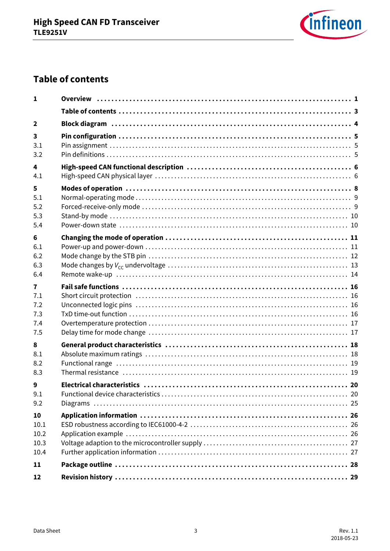

# <span id="page-2-0"></span>**Table of contents**

| 1                       |  |
|-------------------------|--|
|                         |  |
| $\mathbf{2}$            |  |
| $\overline{\mathbf{3}}$ |  |
| 3.1                     |  |
| 3.2                     |  |
| 4                       |  |
| 4.1                     |  |
| 5                       |  |
| 5.1                     |  |
| 5.2                     |  |
| 5.3                     |  |
| 5.4                     |  |
| 6                       |  |
| 6.1                     |  |
| 6.2                     |  |
| 6.3                     |  |
| 6.4                     |  |
| $\overline{7}$          |  |
| 7.1                     |  |
| 7.2                     |  |
| 7.3                     |  |
| 7.4                     |  |
| 7.5                     |  |
| 8                       |  |
| 8.1                     |  |
| 8.2                     |  |
| 8.3                     |  |
| 9                       |  |
| 9.1                     |  |
| 9.2                     |  |
| 10                      |  |
| 10.1                    |  |
| 10.2                    |  |
| 10.3                    |  |
| 10.4                    |  |
| 11                      |  |
| 12                      |  |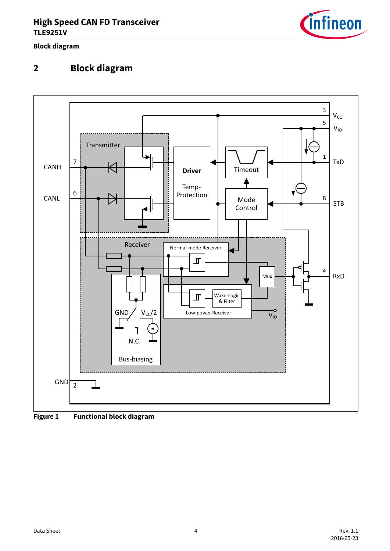

**Block diagram**

## <span id="page-3-0"></span>**2 Block diagram**



<span id="page-3-1"></span>**Figure 1 Functional block diagram**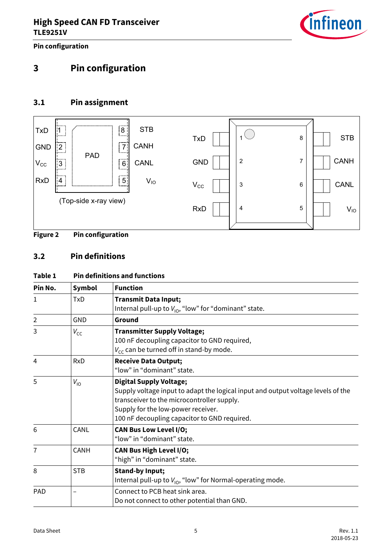

**Pin configuration**

# <span id="page-4-0"></span>**3 Pin configuration**

## <span id="page-4-1"></span>**3.1 Pin assignment**





## <span id="page-4-2"></span>**3.2 Pin definitions**

### **Table 1 Pin definitions and functions**

| Pin No.        | Symbol          | <b>Function</b>                                                                                                                                                                                                                                        |
|----------------|-----------------|--------------------------------------------------------------------------------------------------------------------------------------------------------------------------------------------------------------------------------------------------------|
| 1              | TxD             | <b>Transmit Data Input;</b><br>Internal pull-up to $V_{10}$ , "low" for "dominant" state.                                                                                                                                                              |
| 2              | <b>GND</b>      | Ground                                                                                                                                                                                                                                                 |
| 3              | $V_{\text{CC}}$ | <b>Transmitter Supply Voltage;</b><br>100 nF decoupling capacitor to GND required,<br>$V_{cc}$ can be turned off in stand-by mode.                                                                                                                     |
| 4              | <b>RxD</b>      | <b>Receive Data Output;</b><br>"low" in "dominant" state.                                                                                                                                                                                              |
| 5              | $V_{10}$        | <b>Digital Supply Voltage;</b><br>Supply voltage input to adapt the logical input and output voltage levels of the<br>transceiver to the microcontroller supply.<br>Supply for the low-power receiver.<br>100 nF decoupling capacitor to GND required. |
| 6              | CANL            | <b>CAN Bus Low Level I/O;</b><br>"low" in "dominant" state.                                                                                                                                                                                            |
| $\overline{1}$ | <b>CANH</b>     | <b>CAN Bus High Level I/O;</b><br>"high" in "dominant" state.                                                                                                                                                                                          |
| 8              | <b>STB</b>      | <b>Stand-by Input;</b><br>Internal pull-up to $V_{10}$ , "low" for Normal-operating mode.                                                                                                                                                              |
| <b>PAD</b>     |                 | Connect to PCB heat sink area.<br>Do not connect to other potential than GND.                                                                                                                                                                          |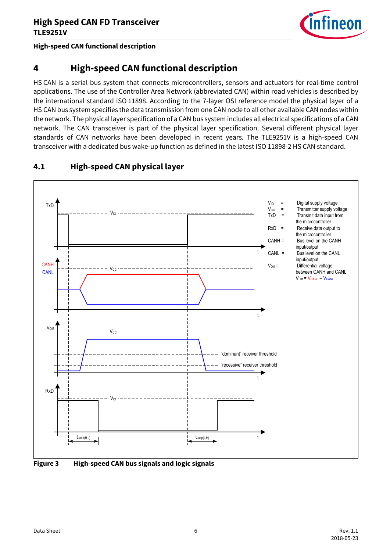

**High-speed CAN functional description**

## <span id="page-5-0"></span>**4 High-speed CAN functional description**

HS CAN is a serial bus system that connects microcontrollers, sensors and actuators for real-time control applications. The use of the Controller Area Network (abbreviated CAN) within road vehicles is described by the international standard ISO 11898. According to the 7-layer OSI reference model the physical layer of a HS CAN bus system specifies the data transmission from one CAN node to all other available CAN nodes within the network. The physical layer specification of a CAN bus system includes all electrical specifications of a CAN network. The CAN transceiver is part of the physical layer specification. Several different physical layer standards of CAN networks have been developed in recent years. The TLE9251V is a high-speed CAN transceiver with a dedicated bus wake-up function as defined in the latest ISO 11898-2 HS CAN standard.



## <span id="page-5-1"></span>**4.1 High-speed CAN physical layer**

<span id="page-5-2"></span>**Figure 3 High-speed CAN bus signals and logic signals**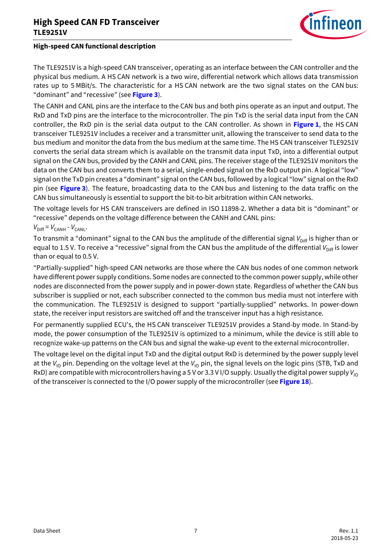

### **High-speed CAN functional description**

The TLE9251V is a high-speed CAN transceiver, operating as an interface between the CAN controller and the physical bus medium. A HS CAN network is a two wire, differential network which allows data transmission rates up to 5 MBit/s. The characteristic for a HS CAN network are the two signal states on the CAN bus: "dominant" and "recessive" (see **[Figure 3](#page-5-2)**).

The CANH and CANL pins are the interface to the CAN bus and both pins operate as an input and output. The RxD and TxD pins are the interface to the microcontroller. The pin TxD is the serial data input from the CAN controller, the RxD pin is the serial data output to the CAN controller. As shown in **[Figure 1](#page-3-1)**, the HS CAN transceiver TLE9251V includes a receiver and a transmitter unit, allowing the transceiver to send data to the bus medium and monitor the data from the bus medium at the same time. The HS CAN transceiver TLE9251V converts the serial data stream which is available on the transmit data input TxD, into a differential output signal on the CAN bus, provided by the CANH and CANL pins. The receiver stage of the TLE9251V monitors the data on the CAN bus and converts them to a serial, single-ended signal on the RxD output pin. A logical "low" signal on the TxD pin creates a "dominant" signal on the CAN bus, followed by a logical "low" signal on the RxD pin (see **[Figure 3](#page-5-2)**). The feature, broadcasting data to the CAN bus and listening to the data traffic on the CAN bus simultaneously is essential to support the bit-to-bit arbitration within CAN networks.

The voltage levels for HS CAN transceivers are defined in ISO 11898-2. Whether a data bit is "dominant" or "recessive" depends on the voltage difference between the CANH and CANL pins:

### $V_{\text{Diff}} = V_{\text{CANH}} - V_{\text{CANL}}$ .

To transmit a "dominant" signal to the CAN bus the amplitude of the differential signal *V*<sub>Diff</sub> is higher than or equal to 1.5 V. To receive a "recessive" signal from the CAN bus the amplitude of the differential V<sub>Diff</sub> is lower than or equal to 0.5 V.

"Partially-supplied" high-speed CAN networks are those where the CAN bus nodes of one common network have different power supply conditions. Some nodes are connected to the common power supply, while other nodes are disconnected from the power supply and in power-down state. Regardless of whether the CAN bus subscriber is supplied or not, each subscriber connected to the common bus media must not interfere with the communication. The TLE9251V is designed to support "partially-supplied" networks. In power-down state, the receiver input resistors are switched off and the transceiver input has a high resistance.

For permanently supplied ECU's, the HS CAN transceiver TLE9251V provides a Stand-by mode. In Stand-by mode, the power consumption of the TLE9251V is optimized to a minimum, while the device is still able to recognize wake-up patterns on the CAN bus and signal the wake-up event to the external microcontroller.

The voltage level on the digital input TxD and the digital output RxD is determined by the power supply level at the *V*<sub>IO</sub> pin. Depending on the voltage level at the *V*<sub>IO</sub> pin, the signal levels on the logic pins (STB, TxD and RxD) are compatible with microcontrollers having a 5 V or 3.3 V I/O supply. Usually the digital power supply V<sub>IO</sub> of the transceiver is connected to the I/O power supply of the microcontroller (see **[Figure 18](#page-25-3)**).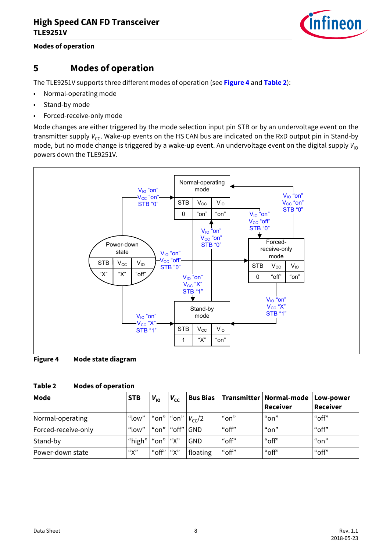

### **Modes of operation**

## <span id="page-7-0"></span>**5 Modes of operation**

The TLE9251V supports three different modes of operation (see **[Figure 4](#page-7-1)** and **[Table 2](#page-7-2)**):

- Normal-operating mode
- Stand-by mode
- Forced-receive-only mode

Mode changes are either triggered by the mode selection input pin STB or by an undervoltage event on the transmitter supply V<sub>CC</sub>. Wake-up events on the HS CAN bus are indicated on the RxD output pin in Stand-by mode, but no mode change is triggered by a wake-up event. An undervoltage event on the digital supply  $V_{10}$ powers down the TLE9251V.



#### <span id="page-7-1"></span>**Figure 4 Mode state diagram**

### <span id="page-7-2"></span>**Table 2 Modes of operation**

| Mode                | <b>STB</b>                                    | $V_{10}$     | $V_{\rm CC}$       | <b>Bus Bias</b> |       | Transmitter   Normal-mode<br><b>Receiver</b> | Low-power<br><b>Receiver</b> |
|---------------------|-----------------------------------------------|--------------|--------------------|-----------------|-------|----------------------------------------------|------------------------------|
| Normal-operating    | $\ $ "low" $\ $ "on" $\ $ "on" $\ V_{cc}/2\ $ |              |                    |                 | "on"  | "on"                                         | "off"                        |
| Forced-receive-only | "low"                                         |              | "on"   "off"   GND |                 | "off" | "on"                                         | "off"                        |
| Stand-by            | "high"   "on"   " $X$ "                       |              |                    | GND             | "off" | "off"                                        | "on"                         |
| Power-down state    | "Х"                                           | ∣"off" ∣ "X" |                    | floating        | "off" | "off"                                        | "off"                        |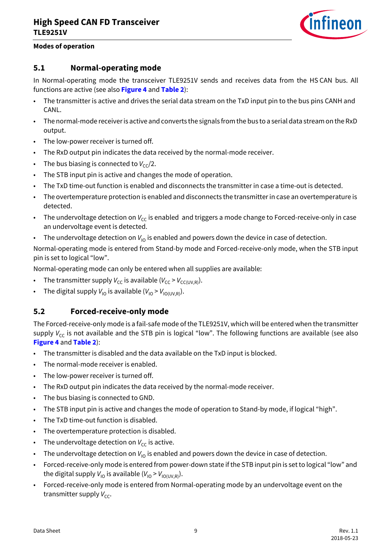

### **Modes of operation**

### <span id="page-8-0"></span>**5.1 Normal-operating mode**

In Normal-operating mode the transceiver TLE9251V sends and receives data from the HS CAN bus. All functions are active (see also **[Figure 4](#page-7-1)** and **[Table 2](#page-7-2)**):

- The transmitter is active and drives the serial data stream on the TxD input pin to the bus pins CANH and CANL.
- The normal-mode receiver is active and converts the signals from the bus to a serial data stream on the RxD output.
- The low-power receiver is turned off.
- The RxD output pin indicates the data received by the normal-mode receiver.
- The bus biasing is connected to  $V_{cc}/2$ .
- The STB input pin is active and changes the mode of operation.
- The TxD time-out function is enabled and disconnects the transmitter in case a time-out is detected.
- The overtemperature protection is enabled and disconnects the transmitter in case an overtemperature is detected.
- The undervoltage detection on  $V_{cc}$  is enabled and triggers a mode change to Forced-receive-only in case an undervoltage event is detected.
- The undervoltage detection on  $V_{10}$  is enabled and powers down the device in case of detection.

Normal-operating mode is entered from Stand-by mode and Forced-receive-only mode, when the STB input pin is set to logical "low".

Normal-operating mode can only be entered when all supplies are available:

- The transmitter supply  $V_{\text{CC}}$  is available  $(V_{\text{CC}} > V_{\text{CC(UV-R)}})$ .
- The digital supply  $V_{10}$  is available  $(V_{10} > V_{10(10 \text{ N.R})})$ .

## <span id="page-8-1"></span>**5.2 Forced-receive-only mode**

The Forced-receive-only mode is a fail-safe mode of the TLE9251V, which will be entered when the transmitter supply  $V_{cc}$  is not available and the STB pin is logical "low". The following functions are available (see also **[Figure 4](#page-7-1)** and **[Table 2](#page-7-2)**):

- The transmitter is disabled and the data available on the TxD input is blocked.
- The normal-mode receiver is enabled.
- The low-power receiver is turned off.
- The RxD output pin indicates the data received by the normal-mode receiver.
- The bus biasing is connected to GND.
- The STB input pin is active and changes the mode of operation to Stand-by mode, if logical "high".
- The TxD time-out function is disabled.
- The overtemperature protection is disabled.
- The undervoltage detection on  $V_{\text{cc}}$  is active.
- The undervoltage detection on  $V_{10}$  is enabled and powers down the device in case of detection.
- Forced-receive-only mode is entered from power-down state if the STB input pin is set to logical "low" and the digital supply  $V_{10}$  is available  $(V_{10} > V_{10(UV,R)})$ .
- Forced-receive-only mode is entered from Normal-operating mode by an undervoltage event on the transmitter supply  $V_{\text{cc}}$ .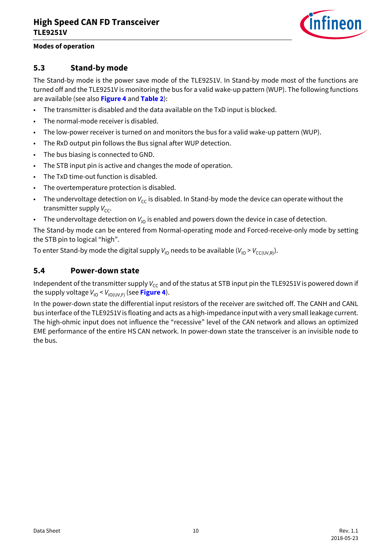

### **Modes of operation**

## <span id="page-9-0"></span>**5.3 Stand-by mode**

The Stand-by mode is the power save mode of the TLE9251V. In Stand-by mode most of the functions are turned off and the TLE9251V is monitoring the bus for a valid wake-up pattern (WUP). The following functions are available (see also **[Figure 4](#page-7-1)** and **[Table 2](#page-7-2)**):

- The transmitter is disabled and the data available on the TxD input is blocked.
- The normal-mode receiver is disabled.
- The low-power receiver is turned on and monitors the bus for a valid wake-up pattern (WUP).
- The RxD output pin follows the Bus signal after WUP detection.
- The bus biasing is connected to GND.
- The STB input pin is active and changes the mode of operation.
- The TxD time-out function is disabled.
- The overtemperature protection is disabled.
- The undervoltage detection on  $V_{cc}$  is disabled. In Stand-by mode the device can operate without the transmitter supply  $V_{cc}$ .
- The undervoltage detection on  $V_{10}$  is enabled and powers down the device in case of detection.

The Stand-by mode can be entered from Normal-operating mode and Forced-receive-only mode by setting the STB pin to logical "high".

To enter Stand-by mode the digital supply  $V_{10}$  needs to be available ( $V_{10} > V_{CCl(UVR)}$ ).

## <span id="page-9-1"></span>**5.4 Power-down state**

Independent of the transmitter supply V<sub>CC</sub> and of the status at STB input pin the TLE9251V is powered down if the supply voltage  $V_{10} < V_{10(UV,F)}$  (see **[Figure 4](#page-7-1)**).

In the power-down state the differential input resistors of the receiver are switched off. The CANH and CANL bus interface of the TLE9251V is floating and acts as a high-impedance input with a very small leakage current. The high-ohmic input does not influence the "recessive" level of the CAN network and allows an optimized EME performance of the entire HS CAN network. In power-down state the transceiver is an invisible node to the bus.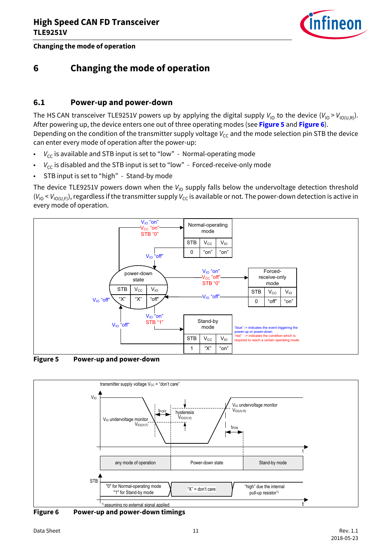

## <span id="page-10-0"></span>**6 Changing the mode of operation**

## <span id="page-10-1"></span>**6.1 Power-up and power-down**

The HS CAN transceiver TLE9251V powers up by applying the digital supply  $V_{10}$  to the device  $(V_{10} > V_{10(1,R)})$ . After powering up, the device enters one out of three operating modes (see **[Figure 5](#page-10-2)** and **[Figure 6](#page-10-3)**). Depending on the condition of the transmitter supply voltage V<sub>cc</sub> and the mode selection pin STB the device can enter every mode of operation after the power-up:

- $V_{cc}$  is available and STB input is set to "low" Normal-operating mode
- *V<sub>CC</sub>* is disabled and the STB input is set to "low" Forced-receive-only mode
- STB input is set to "high" Stand-by mode

The device TLE9251V powers down when the V<sub>IO</sub> supply falls below the undervoltage detection threshold  $(V_{10}$  <  $V_{10(U,F)}$ ), regardless if the transmitter supply  $V_{CC}$  is available or not. The power-down detection is active in every mode of operation.



<span id="page-10-2"></span>**Figure 5 Power-up and power-down** 



<span id="page-10-4"></span><span id="page-10-3"></span>**Figure 6 Power-up and power-down timings**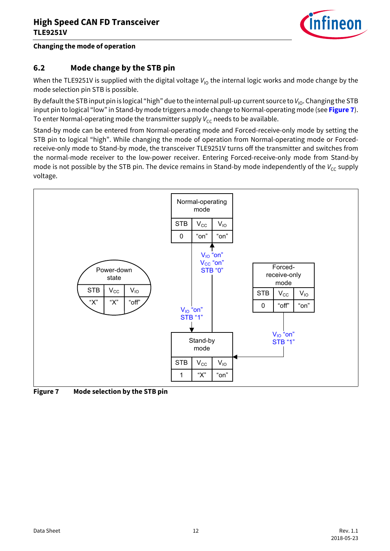

## <span id="page-11-0"></span>**6.2 Mode change by the STB pin**

When the TLE9251V is supplied with the digital voltage  $V_{10}$  the internal logic works and mode change by the mode selection pin STB is possible.

By default the STB input pin is logical "high" due to the internal pull-up current source to V<sub>IO</sub>. Changing the STB input pin to logical "low" in Stand-by mode triggers a mode change to Normal-operating mode (see **[Figure 7](#page-11-1)**). To enter Normal-operating mode the transmitter supply  $V_{cc}$  needs to be available.

Stand-by mode can be entered from Normal-operating mode and Forced-receive-only mode by setting the STB pin to logical "high". While changing the mode of operation from Normal-operating mode or Forcedreceive-only mode to Stand-by mode, the transceiver TLE9251V turns off the transmitter and switches from the normal-mode receiver to the low-power receiver. Entering Forced-receive-only mode from Stand-by mode is not possible by the STB pin. The device remains in Stand-by mode independently of the V<sub>CC</sub> supply voltage.



<span id="page-11-1"></span>**Figure 7 Mode selection by the STB pin**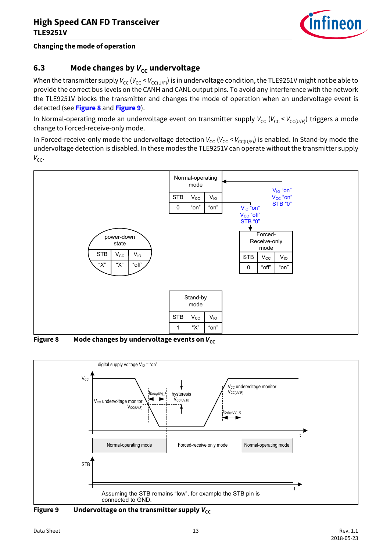

## <span id="page-12-0"></span>**6.3** Mode changes by  $V_{cc}$  undervoltage

When the transmitter supply  $V_{CC}$  ( $V_{CC}$  <  $V_{CC(U/F)}$ ) is in undervoltage condition, the TLE9251V might not be able to provide the correct bus levels on the CANH and CANL output pins. To avoid any interference with the network the TLE9251V blocks the transmitter and changes the mode of operation when an undervoltage event is detected (see **[Figure 8](#page-12-1)** and **[Figure 9](#page-12-2)**).

In Normal-operating mode an undervoltage event on transmitter supply  $V_{CC}$  ( $V_{CC}$  <  $V_{CC(U/F)}$ ) triggers a mode change to Forced-receive-only mode.

In Forced-receive-only mode the undervoltage detection  $V_{CC}$  ( $V_{CC}$  <  $V_{CC(U/F)}$ ) is enabled. In Stand-by mode the undervoltage detection is disabled. In these modes the TLE9251V can operate without the transmitter supply  $V_{CC}$ .



<span id="page-12-1"></span>**Figure 8** Mode changes by undervoltage events on  $V_{cc}$ 



<span id="page-12-3"></span><span id="page-12-2"></span>**Figure 9** Undervoltage on the transmitter supply  $V_{cc}$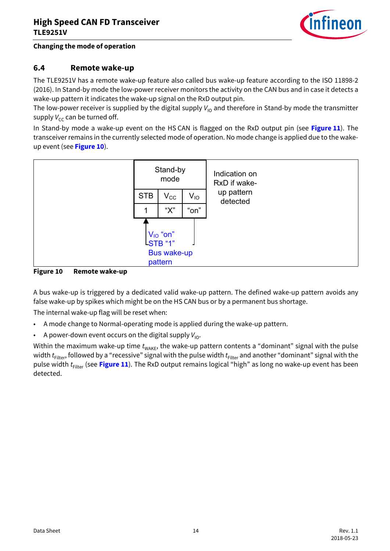

## <span id="page-13-0"></span>**6.4 Remote wake-up**

The TLE9251V has a remote wake-up feature also called bus wake-up feature according to the ISO 11898-2 (2016). In Stand-by mode the low-power receiver monitors the activity on the CAN bus and in case it detects a wake-up pattern it indicates the wake-up signal on the RxD output pin.

The low-power receiver is supplied by the digital supply  $V_{10}$  and therefore in Stand-by mode the transmitter supply  $V_{\text{cc}}$  can be turned off.

In Stand-by mode a wake-up event on the HS CAN is flagged on the RxD output pin (see **[Figure 11](#page-14-0)**). The transceiver remains in the currently selected mode of operation. No mode change is applied due to the wakeup event (see **[Figure 10](#page-13-1)**).



<span id="page-13-1"></span>

A bus wake-up is triggered by a dedicated valid wake-up pattern. The defined wake-up pattern avoids any false wake-up by spikes which might be on the HS CAN bus or by a permanent bus shortage.

The internal wake-up flag will be reset when:

- A mode change to Normal-operating mode is applied during the wake-up pattern.
- A power-down event occurs on the digital supply  $V_{10}$ .

Within the maximum wake-up time  $t_{\text{WAKF}}$ , the wake-up pattern contents a "dominant" signal with the pulse width *t*<sub>Filter</sub>, followed by a "recessive" signal with the pulse width *t*<sub>Filter</sub> and another "dominant" signal with the pulse width *t<sub>Filter</sub>* (see [Figure 11](#page-14-0)). The RxD output remains logical "high" as long no wake-up event has been detected.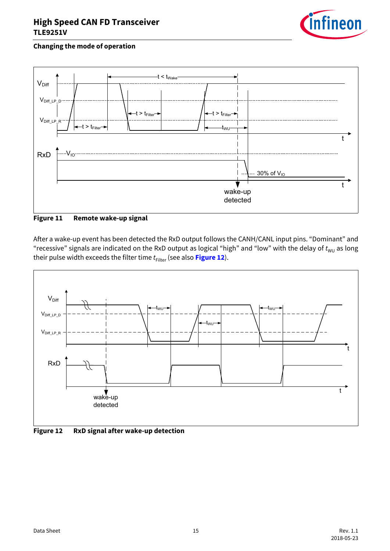



## <span id="page-14-2"></span><span id="page-14-0"></span>**Figure 11 Remote wake-up signal**

After a wake-up event has been detected the RxD output follows the CANH/CANL input pins. "Dominant" and "recessive" signals are indicated on the RxD output as logical "high" and "low" with the delay of  $t_{WU}$  as long their pulse width exceeds the filter time  $t_{\text{Filter}}$  (see also [Figure 12](#page-14-1)).



<span id="page-14-1"></span>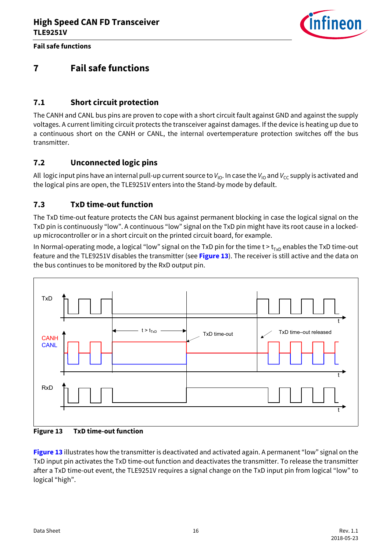

**Fail safe functions**

## <span id="page-15-0"></span>**7 Fail safe functions**

## <span id="page-15-1"></span>**7.1 Short circuit protection**

The CANH and CANL bus pins are proven to cope with a short circuit fault against GND and against the supply voltages. A current limiting circuit protects the transceiver against damages. If the device is heating up due to a continuous short on the CANH or CANL, the internal overtemperature protection switches off the bus transmitter.

## <span id="page-15-2"></span>**7.2 Unconnected logic pins**

All logic input pins have an internal pull-up current source to  $V_{10}$ . In case the  $V_{10}$  and  $V_{CC}$  supply is activated and the logical pins are open, the TLE9251V enters into the Stand-by mode by default.

## <span id="page-15-3"></span>**7.3 TxD time-out function**

The TxD time-out feature protects the CAN bus against permanent blocking in case the logical signal on the TxD pin is continuously "low". A continuous "low" signal on the TxD pin might have its root cause in a lockedup microcontroller or in a short circuit on the printed circuit board, for example.

In Normal-operating mode, a logical "low" signal on the TxD pin for the time  $t > t_{\text{run}}$  enables the TxD time-out feature and the TLE9251V disables the transmitter (see **[Figure 13](#page-15-4)**). The receiver is still active and the data on the bus continues to be monitored by the RxD output pin.



<span id="page-15-4"></span>**Figure 13 TxD time-out function**

**[Figure 13](#page-15-4)** illustrates how the transmitter is deactivated and activated again. A permanent "low" signal on the TxD input pin activates the TxD time-out function and deactivates the transmitter. To release the transmitter after a TxD time-out event, the TLE9251V requires a signal change on the TxD input pin from logical "low" to logical "high".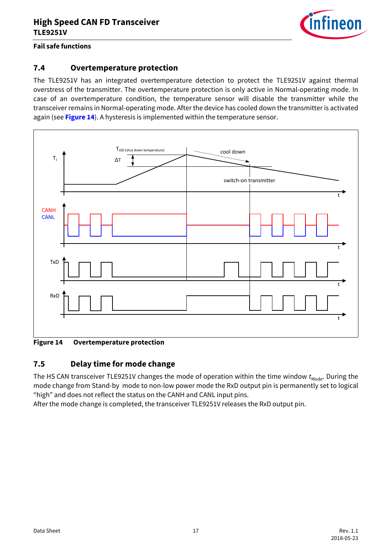

### **Fail safe functions**

### <span id="page-16-0"></span>**7.4 Overtemperature protection**

The TLE9251V has an integrated overtemperature detection to protect the TLE9251V against thermal overstress of the transmitter. The overtemperature protection is only active in Normal-operating mode. In case of an overtemperature condition, the temperature sensor will disable the transmitter while the transceiver remains in Normal-operating mode. After the device has cooled down the transmitter is activated again (see **[Figure 14](#page-16-2)**). A hysteresis is implemented within the temperature sensor.



<span id="page-16-2"></span>**Figure 14 Overtemperature protection**

## <span id="page-16-1"></span>**7.5 Delay time for mode change**

The HS CAN transceiver TLE9251V changes the mode of operation within the time window  $t_{\text{Mode}}$ . During the mode change from Stand-by mode to non-low power mode the RxD output pin is permanently set to logical "high" and does not reflect the status on the CANH and CANL input pins.

After the mode change is completed, the transceiver TLE9251V releases the RxD output pin.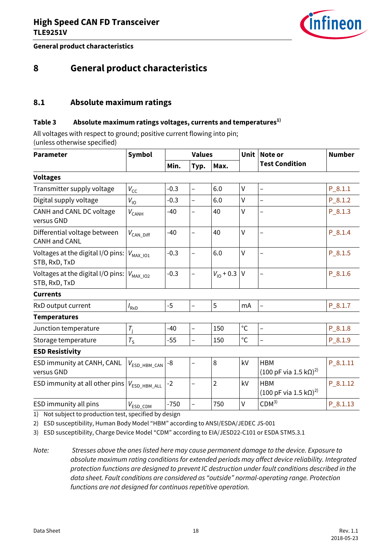

**General product characteristics**

## <span id="page-17-0"></span>**8 General product characteristics**

## <span id="page-17-1"></span>**8.1 Absolute maximum ratings**

### **Table 3 Absolute maximum ratings voltages, currents and temperatures1)**

All voltages with respect to ground; positive current flowing into pin;

(unless otherwise specified)

<span id="page-17-7"></span><span id="page-17-6"></span><span id="page-17-5"></span><span id="page-17-4"></span><span id="page-17-3"></span><span id="page-17-2"></span>

| <b>Parameter</b>                                     | <b>Symbol</b>                          |        | <b>Values</b>            |                | <b>Unit</b>  | Note or<br><b>Test Condition</b>                  | <b>Number</b> |
|------------------------------------------------------|----------------------------------------|--------|--------------------------|----------------|--------------|---------------------------------------------------|---------------|
|                                                      |                                        | Min.   | Typ.                     | Max.           |              |                                                   |               |
| <b>Voltages</b>                                      |                                        |        |                          |                |              |                                                   |               |
| Transmitter supply voltage                           | $V_{\text{CC}}$                        | $-0.3$ | $\overline{\phantom{0}}$ | 6.0            | V            | $\qquad \qquad -$                                 | $P_8.1.1$     |
| Digital supply voltage                               | $V_{\text{IO}}$                        | $-0.3$ | $\overline{\phantom{0}}$ | 6.0            | $\mathsf{V}$ | $\qquad \qquad -$                                 | $P_8.1.2$     |
| CANH and CANL DC voltage<br>versus GND               | $V_{\rm CAMH}$                         | $-40$  | $\overline{\phantom{0}}$ | 40             | $\vee$       |                                                   | $P_8.1.3$     |
| Differential voltage between<br><b>CANH and CANL</b> | $V_{\mathsf{CAN\_Diff}}$               | $-40$  | $\overline{\phantom{0}}$ | 40             | $\vee$       |                                                   | $P_8.1.4$     |
| Voltages at the digital I/O pins:<br>STB, RxD, TxD   | $V_{MAX\_IO1}$                         | $-0.3$ | $\overline{\phantom{0}}$ | 6.0            | $\vee$       |                                                   | $P_8.1.5$     |
| Voltages at the digital I/O pins:<br>STB, RxD, TxD   | $V_{MAX_1O2}$                          | $-0.3$ | $\overline{\phantom{0}}$ | $V_{10}$ + 0.3 | $\mathsf{V}$ |                                                   | $P_8.1.6$     |
| <b>Currents</b>                                      |                                        |        |                          |                |              |                                                   |               |
| RxD output current                                   | $I_{\mathsf{R} \mathsf{x} \mathsf{D}}$ | $-5$   | $\overline{a}$           | 5              | mA           | $\overline{a}$                                    | $P_8.1.7$     |
| <b>Temperatures</b>                                  |                                        |        |                          |                |              |                                                   |               |
| Junction temperature                                 | $T_i$                                  | $-40$  | $\overline{\phantom{0}}$ | 150            | $^{\circ}$ C | $\qquad \qquad -$                                 | $P_8.1.8$     |
| Storage temperature                                  | $T_S$                                  | -55    | $\overline{\phantom{0}}$ | 150            | $^{\circ}C$  | $\overline{\phantom{0}}$                          | $P_8.1.9$     |
| <b>ESD Resistivity</b>                               |                                        |        |                          |                |              |                                                   |               |
| ESD immunity at CANH, CANL<br>versus GND             | $V_{\mathsf{ESD\_HBM\_CAN}}$           | -8     | $\overline{\phantom{0}}$ | 8              | kV           | <b>HBM</b><br>$(100$ pF via 1.5 kΩ) <sup>2)</sup> | $P_8.1.11$    |
| ESD immunity at all other pins                       | $V_{ESD_HBM\_ALL}$                     | $-2$   | $\overline{\phantom{0}}$ | $\overline{2}$ | kV           | <b>HBM</b><br>$(100$ pF via 1.5 kΩ) <sup>2)</sup> | $P_8.1.12$    |
| ESD immunity all pins                                | $V_{ESD\_CDM}$                         | $-750$ | $\overline{\phantom{0}}$ | 750            | $\mathsf{V}$ | CDM <sup>3</sup>                                  | $P_8.1.13$    |

<span id="page-17-14"></span><span id="page-17-13"></span><span id="page-17-12"></span><span id="page-17-11"></span><span id="page-17-10"></span><span id="page-17-9"></span><span id="page-17-8"></span>1) Not subject to production test, specified by design

2) ESD susceptibility, Human Body Model "HBM" according to ANSI/ESDA/JEDEC JS-001

3) ESD susceptibility, Charge Device Model "CDM" according to EIA/JESD22-C101 or ESDA STM5.3.1

*Note: Stresses above the ones listed here may cause permanent damage to the device. Exposure to absolute maximum rating conditions for extended periods may affect device reliability. Integrated protection functions are designed to prevent IC destruction under fault conditions described in the data sheet. Fault conditions are considered as "outside" normal-operating range. Protection functions are not designed for continuos repetitive operation.*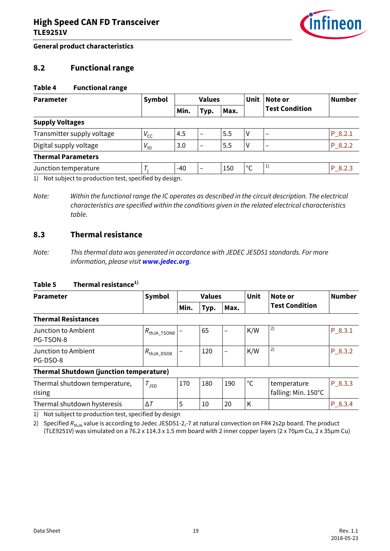

### **General product characteristics**

### <span id="page-18-0"></span>**8.2 Functional range**

#### **Table 4 Functional range**

<span id="page-18-2"></span>

| <b>Parameter</b>                                       | <b>Symbol</b>   |       | <b>Values</b>            |      | Unit         | Note or<br><b>Test Condition</b> | <b>Number</b> |
|--------------------------------------------------------|-----------------|-------|--------------------------|------|--------------|----------------------------------|---------------|
|                                                        |                 | Min.  | Typ.                     | Max. |              |                                  |               |
| <b>Supply Voltages</b>                                 |                 |       |                          |      |              |                                  |               |
| Transmitter supply voltage                             | $V_{\text{CC}}$ | 4.5   |                          | 5.5  |              |                                  | $P_8.2.1$     |
| Digital supply voltage                                 | $V_{10}$        | 3.0   | $\overline{\phantom{m}}$ | 5.5  |              | $\overline{\phantom{0}}$         | $P$ 8.2.2     |
| <b>Thermal Parameters</b>                              |                 |       |                          |      |              |                                  |               |
| Junction temperature                                   |                 | $-40$ | $\overline{\phantom{m}}$ | 150  | $^{\circ}$ C | 1)                               | $P_8.2.3$     |
| 1) Not subject to production toot, enocified by decign |                 |       |                          |      |              |                                  |               |

<span id="page-18-4"></span><span id="page-18-3"></span>1) Not subject to production test, specified by design.

*Note: Within the functional range the IC operates as described in the circuit description. The electrical characteristics are specified within the conditions given in the related electrical characteristics table.* 

### <span id="page-18-1"></span>**8.3 Thermal resistance**

*Note: This thermal data was generated in accordance with JEDEC JESD51 standards. For more information, please visit [www.jedec.org](http://www.jedec.org).* 

### **Table 5 Thermal resistance1)**

<span id="page-18-6"></span><span id="page-18-5"></span>

| <b>Parameter</b>                               | <b>Symbol</b>              |      | <b>Values</b> |                          | <b>Unit</b> | Note or                            | <b>Number</b> |
|------------------------------------------------|----------------------------|------|---------------|--------------------------|-------------|------------------------------------|---------------|
|                                                |                            | Min. | Typ.          | Max.                     |             | <b>Test Condition</b>              |               |
| <b>Thermal Resistances</b>                     |                            |      |               |                          |             |                                    |               |
| Junction to Ambient<br>PG-TSON-8               | $R_{\text{thJA\_TSONS}}$ – |      | 65            | -                        | K/W         | 2)                                 | $P_8.3.1$     |
| Junction to Ambient<br>PG-DSO-8                | $R_{\mathsf{thJA\_DSOS}}$  |      | 120           | $\overline{\phantom{0}}$ | K/W         | 2)                                 | $P_8.3.2$     |
| <b>Thermal Shutdown (junction temperature)</b> |                            |      |               |                          |             |                                    |               |
| Thermal shutdown temperature,<br>rising        | <b>JSD</b>                 | 170  | 180           | 190                      | $^{\circ}C$ | temperature<br>falling: Min. 150°C | $P_8.3.3$     |

1) Not subject to production test, specified by design

2) Specified R<sub>thJA</sub> value is according to Jedec JESD51-2,-7 at natural convection on FR4 2s2p board. The product (TLE9251V) was simulated on a 76.2 x 114.3 x 1.5 mm board with 2 inner copper layers (2 x 70µm Cu, 2 x 35µm Cu)

<span id="page-18-9"></span><span id="page-18-8"></span><span id="page-18-7"></span>Thermal shutdown hysteresis  $|\Delta T|$  5 10 20 K  $|$  6  $|$  [P\\_8.3.4](#page-18-9)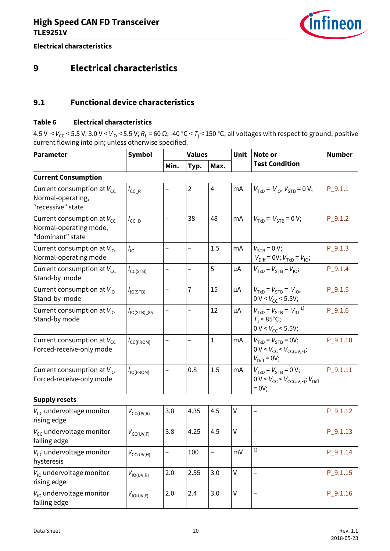<span id="page-19-18"></span><span id="page-19-17"></span><span id="page-19-16"></span>

**Electrical characteristics**

## <span id="page-19-0"></span>**9 Electrical characteristics**

## <span id="page-19-1"></span>**9.1 Functional device characteristics**

### **Table 6 Electrical characteristics**

4.5 V < V<sub>CC</sub> < 5.5 V; 3.0 V < V<sub>IO</sub> < 5.5 V; R<sub>L</sub> = 60 Ω; -40 °C < T<sub>j</sub> < 150 °C; all voltages with respect to ground; positive current flowing into pin; unless otherwise specified.

<span id="page-19-15"></span><span id="page-19-14"></span><span id="page-19-13"></span><span id="page-19-12"></span><span id="page-19-11"></span><span id="page-19-10"></span><span id="page-19-9"></span><span id="page-19-8"></span><span id="page-19-7"></span><span id="page-19-6"></span><span id="page-19-5"></span><span id="page-19-4"></span><span id="page-19-3"></span><span id="page-19-2"></span>

| <b>Parameter</b>                                                              | <b>Symbol</b>                             |                   | <b>Values</b>            |              | Unit         | Note or<br><b>Test Condition</b>                                                                     | <b>Number</b> |
|-------------------------------------------------------------------------------|-------------------------------------------|-------------------|--------------------------|--------------|--------------|------------------------------------------------------------------------------------------------------|---------------|
|                                                                               |                                           | Min.              | Typ.                     | Max.         |              |                                                                                                      |               |
| <b>Current Consumption</b>                                                    |                                           |                   |                          |              |              |                                                                                                      |               |
| Current consumption at $V_{cc}$<br>Normal-operating,<br>"recessive" state     | $I_{\text{CC\_R}}$                        |                   | $\overline{2}$           | 4            | mA           | $V_{\text{TxD}} = V_{\text{IO}}$ , $V_{\text{STB}} = 0$ V;                                           | $P_9.1.1$     |
| Current consumption at $V_{cc}$<br>Normal-operating mode,<br>"dominant" state | $I_{\text{CC}\_D}$                        |                   | 38                       | 48           | mA           | $V_{TxD} = V_{STR} = 0 V;$                                                                           | $P_9.1.2$     |
| Current consumption at $V_{10}$<br>Normal-operating mode                      | $I_{\text{IO}}$                           | -                 | $\qquad \qquad -$        | 1.5          | mA           | $V_{\text{STB}} = 0 \text{ V};$<br>$V_{\text{Diff}} = 0 \text{V}; V_{\text{TxD}} = V_{\text{IO}};$   | $P_9.1.3$     |
| Current consumption at $V_{cc}$<br>Stand-by mode                              | $I_{\text{CC(STB)}}$                      | -                 | $\overline{\phantom{0}}$ | 5            | μA           | $V_{TxD} = V_{STR} = V_{IO};$                                                                        | $P_9.1.4$     |
| Current consumption at $V_{10}$<br>Stand-by mode                              | $I_{IO(STB)}$                             | -                 | $\overline{1}$           | 15           | μA           | $V_{\text{TxD}} = V_{\text{STB}} = V_{\text{IO}}$<br>$0 V < V_{cc}$ < 5.5V;                          | $P_9.1.5$     |
| Current consumption at $V_{10}$<br>Stand-by mode                              | $I_{\text{IO(STB)}\_85}$                  |                   |                          | 12           | μA           | $V_{\text{TxD}} = V_{\text{STB}} = V_{\text{IO}}^{1}$<br>$T_1$ < 85°C;<br>0 V < $V_{\rm CC}$ < 5.5V; | $P_9.1.6$     |
| Current consumption at $V_{cc}$<br>Forced-receive-only mode                   | $I_{\text{CC}(\text{FROM})}$              |                   |                          | $\mathbf{1}$ | mA           | $V_{TxD} = V_{STB} = 0V;$<br>$0 V < V_{CC} < V_{CC(UV,F)};$<br>$V_{\text{Diff}} = 0 V;$              | $P_9.1.10$    |
| Current consumption at $V_{10}$<br>Forced-receive-only mode                   | $I_{IO(FROM)}$                            | $\qquad \qquad -$ | 0.8                      | 1.5          | mA           | $V_{TxD} = V_{STB} = 0 V;$<br>$0 V < V_{CC} < V_{CC(UV,F)}$ ; $V_{Diff}$<br>$=$ 0V;                  | $P_9.1.11$    |
| <b>Supply resets</b>                                                          |                                           |                   |                          |              |              |                                                                                                      |               |
| $V_{cc}$ undervoltage monitor<br>rising edge                                  | $V_{\text{CC}(UV,R)}$                     | 3.8               | 4.35                     | 4.5          | V            |                                                                                                      | $P_9.1.12$    |
| $V_{cc}$ undervoltage monitor<br>falling edge                                 | $V_{\text{CC}(UV,F)}$                     | 3.8               | 4.25                     | 4.5          | $\sf V$      | $\overline{\phantom{0}}$                                                                             | $P_9.1.13$    |
| $V_{cc}$ undervoltage monitor<br>hysteresis                                   | $V_{\text{CC(UV,H)}}$                     | —                 | 100                      |              | mV           | 1)                                                                                                   | $P_9.1.14$    |
| $V_{10}$ undervoltage monitor<br>rising edge                                  | $V_{\mathsf{IO}(\mathsf{UV},\mathsf{R})}$ | 2.0               | 2.55                     | 3.0          | $\mathsf{V}$ |                                                                                                      | $P_9.1.15$    |
| $V_{10}$ undervoltage monitor<br>falling edge                                 | $V_{\text{IO(UV,F)}}$                     | 2.0               | 2.4                      | 3.0          | $\sf V$      |                                                                                                      | $P_9.1.16$    |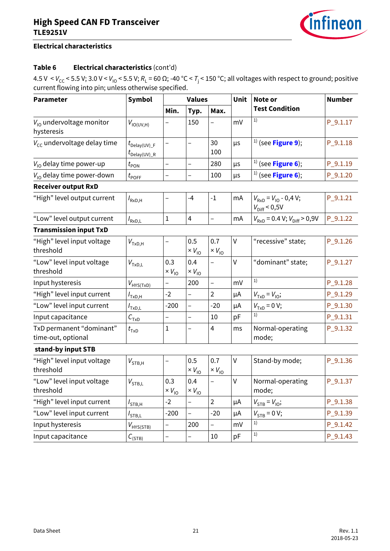<span id="page-20-19"></span>

### **Electrical characteristics**

## **Table 6 Electrical characteristics** (cont'd)

 $4.5$  V  $\lt V_{CC}$  < 5.5 V; 3.0 V  $\lt V_{10}$  < 5.5 V;  $R_L$  = 60  $\Omega$ ; -40 °C  $\lt T_j$  < 150 °C; all voltages with respect to ground; positive current flowing into pin; unless otherwise specified.

<span id="page-20-18"></span><span id="page-20-17"></span><span id="page-20-16"></span><span id="page-20-15"></span><span id="page-20-14"></span><span id="page-20-13"></span><span id="page-20-12"></span><span id="page-20-11"></span><span id="page-20-10"></span><span id="page-20-9"></span><span id="page-20-8"></span><span id="page-20-7"></span><span id="page-20-6"></span><span id="page-20-5"></span><span id="page-20-4"></span><span id="page-20-3"></span><span id="page-20-2"></span><span id="page-20-1"></span><span id="page-20-0"></span>

| <b>Parameter</b>                               | <b>Symbol</b>                                      |                               | <b>Values</b>                 |                          | Unit         | Note or                                                 | <b>Number</b> |
|------------------------------------------------|----------------------------------------------------|-------------------------------|-------------------------------|--------------------------|--------------|---------------------------------------------------------|---------------|
|                                                |                                                    | Min.                          | Typ.                          | Max.                     |              | <b>Test Condition</b>                                   |               |
| $V_{10}$ undervoltage monitor<br>hysteresis    | $V_{IO(UV,H)}$                                     |                               | 150                           |                          | mV           | 1)                                                      | $P_9.1.17$    |
| $V_{\text{cc}}$ undervoltage delay time        | $t_{\text{Delay(UV)}_F}$<br>$t_{\sf Delay(UV)\_R}$ |                               |                               | 30<br>100                | $\mu$ s      | $1$ (see Figure 9);                                     | $P_9.1.18$    |
| $V_{10}$ delay time power-up                   | $t_{\mathsf{PON}}$                                 | $\overline{\phantom{0}}$      | $\qquad \qquad -$             | 280                      | μs           | $1$ (see Figure 6);                                     | $P_9.1.19$    |
| $V_{10}$ delay time power-down                 | $t_{\mathsf{POFF}}$                                |                               | -                             | 100                      | $\mu$ s      | $1$ (see Figure 6);                                     | $P_9.1.20$    |
| <b>Receiver output RxD</b>                     |                                                    |                               |                               |                          |              |                                                         |               |
| "High" level output current                    | $I_{\mathsf{R} \mathsf{x} \mathsf{D}, \mathsf{H}}$ |                               | -4                            | $-1$                     | mA           | $V_{RxD} = V_{10} - 0.4 V;$<br>$V_{\text{Diff}}$ < 0,5V | $P_9.1.21$    |
| "Low" level output current                     | $I_{\text{RxD,L}}$                                 | $\mathbf 1$                   | $\overline{4}$                | $\overline{\phantom{0}}$ | mA           | $V_{RxD} = 0.4 V; V_{Diff} > 0.9 V$                     | $P_9.1.22$    |
| <b>Transmission input TxD</b>                  |                                                    |                               |                               |                          |              |                                                         |               |
| "High" level input voltage<br>threshold        | $V_{TxD,H}$                                        | $\overline{\phantom{0}}$      | 0.5<br>$\times V_{10}$        | 0.7<br>$\times V_{10}$   | V            | "recessive" state;                                      | $P_9.1.26$    |
| "Low" level input voltage<br>threshold         | $V_{TxD,L}$                                        | 0.3<br>$\times V_{\text{IO}}$ | 0.4<br>$\times V_{\text{IO}}$ | -                        | V            | "dominant" state;                                       | $P_9.1.27$    |
| Input hysteresis                               | $V_{HYS(TxD)}$                                     | $\qquad \qquad -$             | 200                           | $\overline{a}$           | mV           | 1)                                                      | $P_9.1.28$    |
| "High" level input current                     | $I_{TxD,H}$                                        | $-2$                          | -                             | $\overline{2}$           | μA           | $V_{TxD} = V_{10};$                                     | $P_9.1.29$    |
| "Low" level input current                      | $I_{\mathsf{TxD,L}}$                               | $-200$                        | $\overline{\phantom{0}}$      | $-20$                    | μA           | $VTxD = 0 V;$                                           | $P_9.1.30$    |
| Input capacitance                              | $\mathcal{C}_{\mathsf{TxD}}$                       |                               |                               | 10                       | pF           |                                                         | $P_9.1.31$    |
| TxD permanent "dominant"<br>time-out, optional | $t_{\text{TxD}}$                                   | $\mathbf{1}$                  | $\qquad \qquad -$             | $\overline{4}$           | ms           | Normal-operating<br>mode;                               | $P_9.1.32$    |
| stand-by input STB                             |                                                    |                               |                               |                          |              |                                                         |               |
| "High" level input voltage<br>threshold        | $V_{STB,H}$                                        | $\overline{\phantom{0}}$      | 0.5<br>$\times V_{10}$        | 0.7<br>$\times V_{10}$   | $\mathsf{V}$ | Stand-by mode;                                          | $P_9.1.36$    |
| "Low" level input voltage<br>threshold         | $V_{\rm STB,L}$                                    | 0.3<br>$\times V_{\text{IO}}$ | 0.4<br>$\times V_{\text{IO}}$ |                          | V            | Normal-operating<br>mode;                               | $P_9.1.37$    |
| "High" level input current                     | / <sub>STB,H</sub>                                 | $-2$                          |                               | $\overline{2}$           | μA           | $V_{\text{STB}} = V_{10};$                              | $P_9.1.38$    |
| "Low" level input current                      | $I_{\texttt{STB},\underline{\texttt{L}}}$          | $-200$                        |                               | $-20$                    | μA           | $V_{\text{STB}} = 0 \text{ V};$                         | P_9.1.39      |
| Input hysteresis                               | $V_{HYS(STB)}$                                     |                               | 200                           | $\overline{\phantom{0}}$ | mV           |                                                         | $P_9.1.42$    |
| Input capacitance                              | $C_{(STB)}$                                        | $\overline{\phantom{0}}$      | -                             | $10\,$                   | pF           | 1)                                                      | $P_9.1.43$    |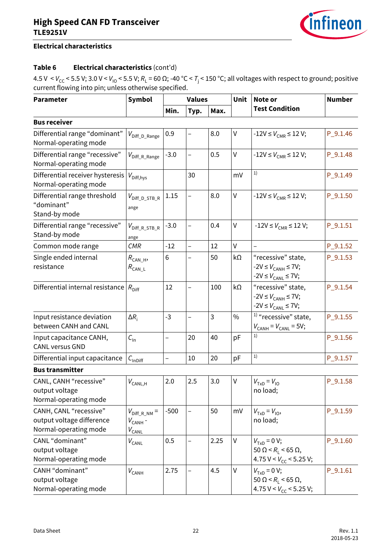## **High Speed CAN FD Transceiver TLE9251V**



### **Electrical characteristics**

### **Table 6 Electrical characteristics** (cont'd)

 $4.5$  V  $\lt V_{CC}$  < 5.5 V; 3.0 V  $\lt V_{10}$  < 5.5 V;  $R_L$  = 60  $\Omega$ ; -40 °C  $\lt T_j$  < 150 °C; all voltages with respect to ground; positive current flowing into pin; unless otherwise specified.

<span id="page-21-14"></span><span id="page-21-13"></span><span id="page-21-12"></span><span id="page-21-11"></span><span id="page-21-10"></span><span id="page-21-9"></span><span id="page-21-8"></span><span id="page-21-7"></span><span id="page-21-6"></span><span id="page-21-5"></span><span id="page-21-4"></span><span id="page-21-3"></span><span id="page-21-2"></span><span id="page-21-1"></span><span id="page-21-0"></span>

| <b>Parameter</b>                                                             | <b>Symbol</b>                                            |                   | <b>Values</b>     |      | Unit | Note or<br><b>Test Condition</b>                                                     | <b>Number</b> |
|------------------------------------------------------------------------------|----------------------------------------------------------|-------------------|-------------------|------|------|--------------------------------------------------------------------------------------|---------------|
|                                                                              |                                                          | Min.              | Typ.              | Max. |      |                                                                                      |               |
| <b>Bus receiver</b>                                                          |                                                          |                   |                   |      |      |                                                                                      |               |
| Differential range "dominant"<br>Normal-operating mode                       | $V_{\text{Diff\_D\_Range}}$                              | 0.9               | -                 | 8.0  | V    | $-12V \leq V_{CMR} \leq 12 V;$                                                       | $P_9.1.46$    |
| Differential range "recessive"<br>Normal-operating mode                      | $V_{\text{Diff\_R\_Range}}$                              | $-3.0$            | $\overline{a}$    | 0.5  | V    | $-12V \leq V_{CMR} \leq 12 V;$                                                       | $P_9.1.48$    |
| Differential receiver hysteresis<br>Normal-operating mode                    | $V_{\text{Diff,hvs}}$                                    |                   | 30                |      | mV   | 1)                                                                                   | P_9.1.49      |
| Differential range threshold<br>"dominant"<br>Stand-by mode                  | $V_{\rm Diff\_D\_STB\_R}$<br>ange                        | 1.15              | -                 | 8.0  | V    | $-12V \leq V_{CMR} \leq 12 V;$                                                       | $P_9.1.50$    |
| Differential range "recessive"<br>Stand-by mode                              | $V_{\rm Diff\_R\_STB\_R}$<br>ange                        | $-3.0$            | -                 | 0.4  | V    | $-12V \leq V_{CMR} \leq 12 V;$                                                       | $P_9.1.51$    |
| Common mode range                                                            | <b>CMR</b>                                               | $-12$             | $\qquad \qquad -$ | 12   | V    |                                                                                      | $P_9.1.52$    |
| Single ended internal<br>resistance                                          | $R_{\text{CAN\_H}}$<br>$R_{\text{CAN\_L}}$               | 6                 |                   | 50   | kΩ   | "recessive" state,<br>$-2V \leq V_{CANH} \leq 7V$ ;<br>$-2V \leq V_{CANL} \leq 7V$ ; | $P_9.1.53$    |
| Differential internal resistance $ R_{\text{Diff}}$                          |                                                          | 12                |                   | 100  | kΩ   | "recessive" state,<br>$-2V \leq V_{CANH} \leq 7V;$<br>$-2V \leq V_{CANL} \leq 7V;$   | $P_9.1.54$    |
| Input resistance deviation<br>between CANH and CANL                          | $\Delta R_i$                                             | $-3$              |                   | 3    | $\%$ | $1)$ "recessive" state,<br>$V_{CANH} = V_{CANL} = 5V;$                               | $P_9.1.55$    |
| Input capacitance CANH,<br><b>CANL versus GND</b>                            | $C_{\text{In}}$                                          | $\overline{a}$    | 20                | 40   | pF   | 1)                                                                                   | $P_9.1.56$    |
| Differential input capacitance                                               | $C_{\text{InDiff}}$                                      | $\qquad \qquad -$ | 10                | 20   | pF   | 1)                                                                                   | $P_9.1.57$    |
| <b>Bus transmitter</b>                                                       |                                                          |                   |                   |      |      |                                                                                      |               |
| CANL, CANH "recessive"<br>output voltage<br>Normal-operating mode            | $V_{\mathsf{CANL},\mathsf{H}}$                           | 2.0               | 2.5               | 3.0  | V    | $VTxD = V10$<br>no load;                                                             | $P_9.1.58$    |
| CANH, CANL "recessive"<br>output voltage difference<br>Normal-operating mode | $V_{\text{Diff\_R\_NM}} =$<br>$V_{CANH}$ -<br>$V_{CANL}$ | $-500$            |                   | 50   | mV   | $VTxD = V10$<br>no load;                                                             | P_9.1.59      |
| CANL "dominant"<br>output voltage<br>Normal-operating mode                   | $V_{CANL}$                                               | 0.5               |                   | 2.25 | V    | $V_{TxD} = 0 V;$<br>$50 \Omega < R_1 < 65 \Omega$<br>4.75 V < $V_{CC}$ < 5.25 V;     | $P_9.1.60$    |
| CANH "dominant"<br>output voltage<br>Normal-operating mode                   | $V_{CANH}$                                               | 2.75              |                   | 4.5  | V    | $V_{TxD} = 0 V;$<br>$50 \Omega < R_1 < 65 \Omega$<br>4.75 V < $V_{CC}$ < 5.25 V;     | $P_9.1.61$    |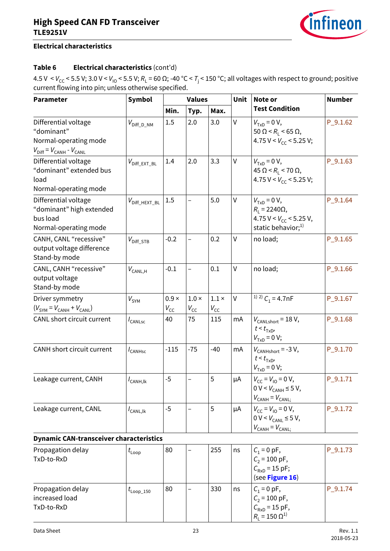## **High Speed CAN FD Transceiver TLE9251V**



### **Electrical characteristics**

## **Table 6 Electrical characteristics** (cont'd)

 $4.5$  V  $\lt V_{CC}$  < 5.5 V; 3.0 V  $\lt V_{10}$  < 5.5 V;  $R_L$  = 60  $\Omega$ ; -40 °C  $\lt T_j$  < 150 °C; all voltages with respect to ground; positive current flowing into pin; unless otherwise specified.

<span id="page-22-11"></span><span id="page-22-10"></span><span id="page-22-9"></span><span id="page-22-8"></span><span id="page-22-7"></span><span id="page-22-6"></span><span id="page-22-5"></span><span id="page-22-4"></span><span id="page-22-3"></span><span id="page-22-2"></span><span id="page-22-1"></span><span id="page-22-0"></span>

| <b>Parameter</b>                                                                                                     | Symbol                      |                                 | <b>Values</b>                   |                                 | Unit    | Note or<br><b>Test Condition</b>                                                                    | <b>Number</b> |
|----------------------------------------------------------------------------------------------------------------------|-----------------------------|---------------------------------|---------------------------------|---------------------------------|---------|-----------------------------------------------------------------------------------------------------|---------------|
|                                                                                                                      |                             | Min.                            | Typ.                            | Max.                            |         |                                                                                                     |               |
| Differential voltage<br>"dominant"<br>Normal-operating mode<br>$V_{\text{Diff}} = V_{\text{CANH}} - V_{\text{CANL}}$ | $V_{\text{Diff\_D\_NM}}$    | 1.5                             | 2.0                             | 3.0                             | V       | $V_{TxD} = 0 V,$<br>$50 \Omega < R_1 < 65 \Omega$<br>4.75 V < $V_{cc}$ < 5.25 V;                    | $P_9.1.62$    |
| Differential voltage<br>"dominant" extended bus<br>load<br>Normal-operating mode                                     | $V_{\rm Diff\_EXT\_BL}$     | 1.4                             | 2.0                             | 3.3                             | V       | $V_{TxD} = 0 V,$<br>$45 \Omega < R_1 < 70 \Omega$ ,<br>4.75 V < $V_{CC}$ < 5.25 V;                  | $P_9.1.63$    |
| Differential voltage<br>"dominant" high extended<br>bus load<br>Normal-operating mode                                | $V_{\text{Diff\_HEXT\_BL}}$ | 1.5                             |                                 | 5.0                             | V       | $V_{TxD} = 0 V,$<br>$R_1 = 2240\Omega$ ,<br>4.75 V < $V_{CC}$ < 5.25 V,<br>static behavior; $^{1)}$ | $P_9.1.64$    |
| CANH, CANL "recessive"<br>output voltage difference<br>Stand-by mode                                                 | $V_{\text{Diff\_STB}}$      | $-0.2$                          |                                 | 0.2                             | $\vee$  | no load;                                                                                            | $P_9.1.65$    |
| CANL, CANH "recessive"<br>output voltage<br>Stand-by mode                                                            | $V_{\text{CANL},H}$         | $-0.1$                          |                                 | 0.1                             | $\vee$  | no load;                                                                                            | P 9.1.66      |
| Driver symmetry<br>$(VSYM = VCANH + VCANL)$                                                                          | $V_{\rm SYM}$               | $0.9 \times$<br>$V_{\text{CC}}$ | $1.0 \times$<br>$V_{\text{CC}}$ | $1.1 \times$<br>$V_{\text{CC}}$ | V       | <sup>1) 2)</sup> $C_1 = 4.7$ nF                                                                     | $P_9.1.67$    |
| CANL short circuit current                                                                                           | $I_{\text{CANLsc}}$         | 40                              | 75                              | 115                             | mA      | $V_{\text{CANLshort}} = 18 \text{ V},$<br>$t < t_{\text{TxD}}$<br>$V_{TxD} = 0 V;$                  | $P_9.1.68$    |
| CANH short circuit current                                                                                           | $I_{\text{CANHsc}}$         | $-115$                          | $-75$                           | $-40$                           | mA      | $V_{\text{CANHshort}}$ = -3 V,<br>$t < t_{\text{TxD}}$<br>$V_{TxD} = 0 V;$                          | P_9.1.70      |
| Leakage current, CANH                                                                                                | $I_{\text{CANH},\text{lk}}$ | $-5$                            |                                 | 5                               | $\mu A$ | $V_{\rm CC} = V_{\rm IO} = 0 \text{ V},$<br>0 V < $V_{CANH}$ ≤ 5 V,<br>$V_{CANH} = V_{CANL}$        | $P_9.1.71$    |
| Leakage current, CANL                                                                                                | $I_{\text{CANL,lk}}$        | $-5$                            |                                 | 5                               | μA      | $V_{\rm CC} = V_{\rm IO} = 0 \text{ V}$ ,<br>$0 V < V_{CANL} \le 5 V$ ,<br>$V_{CANH} = V_{CANL}$    | $P_9.1.72$    |
| <b>Dynamic CAN-transceiver characteristics</b>                                                                       |                             |                                 |                                 |                                 |         |                                                                                                     |               |
| Propagation delay<br>TxD-to-RxD                                                                                      | $t_{\text{\tiny{Loop}}}$    | 80                              |                                 | 255                             | ns      | $C_1 = 0 \text{ pF}$ ,<br>$C_2 = 100 \text{ pF}$ ,<br>$C_{RxD} = 15$ pF;<br>(see Figure 16)         | $P_9.1.73$    |
| Propagation delay<br>increased load<br>TxD-to-RxD                                                                    | $t_{\textsf{Loop}\_150}$    | 80                              |                                 | 330                             | ns      | $C_1 = 0 \text{ pF}$ ,<br>$C_2$ = 100 pF,<br>$C_{RxD} = 15$ pF,<br>$R_{L}$ = 150 $\Omega^{1}$       | P_9.1.74      |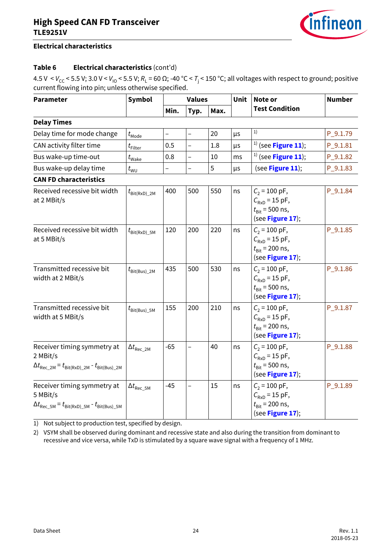## **High Speed CAN FD Transceiver TLE9251V**



### **Electrical characteristics**

### **Table 6 Electrical characteristics** (cont'd)

 $4.5$  V <  $V_{CC}$  < 5.5 V; 3.0 V <  $V_{10}$  < 5.5 V;  $R_L$  = 60  $\Omega$ ; -40 °C <  $T_i$  < 150 °C; all voltages with respect to ground; positive current flowing into pin; unless otherwise specified.

<span id="page-23-8"></span><span id="page-23-5"></span><span id="page-23-3"></span><span id="page-23-2"></span><span id="page-23-1"></span><span id="page-23-0"></span>

| <b>Parameter</b>                                                                                                                                | <b>Symbol</b>                      |                          | <b>Values</b>            |      | <b>Unit</b> | Note or<br><b>Test Condition</b>                                                                 | <b>Number</b> |
|-------------------------------------------------------------------------------------------------------------------------------------------------|------------------------------------|--------------------------|--------------------------|------|-------------|--------------------------------------------------------------------------------------------------|---------------|
|                                                                                                                                                 |                                    | Min.                     | Typ.                     | Max. |             |                                                                                                  |               |
| <b>Delay Times</b>                                                                                                                              |                                    |                          |                          |      |             |                                                                                                  |               |
| Delay time for mode change                                                                                                                      | $t_{\text{Mode}}$                  | $\overline{\phantom{0}}$ | $\overline{a}$           | 20   | μs          | 1)                                                                                               | P_9.1.79      |
| CAN activity filter time                                                                                                                        | $t_{\rm Filter}$                   | 0.5                      | $\overline{a}$           | 1.8  | μs          | $1$ (see Figure 11);                                                                             | $P_9.1.81$    |
| Bus wake-up time-out                                                                                                                            | $t_{\text{Wake}}$                  | 0.8                      | $\overline{a}$           | 10   | ms          | $1$ (see Figure 11);                                                                             | $P_9.1.82$    |
| Bus wake-up delay time                                                                                                                          | $t_{\text{WU}}$                    |                          | $\overline{\phantom{0}}$ | 5    | μs          | (see Figure 11);                                                                                 | $P_9.1.83$    |
| <b>CAN FD characteristics</b>                                                                                                                   |                                    |                          |                          |      |             |                                                                                                  |               |
| Received recessive bit width<br>at 2 MBit/s                                                                                                     | $t_{\text{Bit(RxD)}\_2M}$          | 400                      | 500                      | 550  | ns          | $C_2 = 100 \text{ pF},$<br>$C_{RxD} = 15$ pF,<br>$t_{\text{Bit}}$ = 500 ns,<br>(see Figure 17);  | P_9.1.84      |
| Received recessive bit width<br>at 5 MBit/s                                                                                                     | $t_{\text{Bit(RxD)}\_5M}$          | 120                      | 200                      | 220  | ns          | $C_2 = 100 \text{ pF},$<br>$C_{RxD} = 15$ pF,<br>$t_{\text{Bit}}$ = 200 ns,<br>(see Figure 17);  | $P_9.1.85$    |
| Transmitted recessive bit<br>width at 2 MBit/s                                                                                                  | $t_{\text{Bit(Bus)}\_2M}$          | 435                      | 500                      | 530  | ns          | $C_2 = 100 \text{ pF},$<br>$C_{RxD} = 15$ pF,<br>$t_{\text{Bit}}$ = 500 ns,<br>(see Figure 17);  | P_9.1.86      |
| Transmitted recessive bit<br>width at 5 MBit/s                                                                                                  | $t_{\text{Bit(Bus)}\_5M}$          | 155                      | 200                      | 210  | ns          | $C_2 = 100 \text{ pF},$<br>$C_{RxD} = 15$ pF,<br>$t_{\text{Bit}}$ = 200 ns,<br>(see Figure 17);  | P_9.1.87      |
| Receiver timing symmetry at<br>2 MBit/s<br>$\Delta t_{\text{Rec}\_2\text{M}} = t_{\text{Bit(RxD)}\_2\text{M}} - t_{\text{Bit(Bus)}\_2\text{M}}$ | $\Delta t_{\text{Rec}\_2\text{M}}$ | $-65$                    | $\overline{\phantom{0}}$ | 40   | ns          | $C_2 = 100 \text{ pF},$<br>$C_{RxD} = 15$ pF,<br>$t_{\text{Bit}}$ = 500 ns,<br>(see Figure 17);  | $P_9.1.88$    |
| Receiver timing symmetry at<br>5 MBit/s<br>$\Delta t_{\text{Rec\_5M}} = t_{\text{Bit(RxD)}\_5M} - t_{\text{Bit(Bus)}\_5M}$                      | $\Delta t_{\text{Rec\_5M}}$        | $-45$                    | $\overline{\phantom{0}}$ | 15   | ns          | $C_2 = 100 \text{ pF}$ ,<br>$C_{RxD} = 15$ pF,<br>$t_{\text{Bit}}$ = 200 ns,<br>(see Figure 17); | $P_9.1.89$    |

<span id="page-23-9"></span><span id="page-23-7"></span><span id="page-23-6"></span><span id="page-23-4"></span>1) Not subject to production test, specified by design.

2) VSYM shall be observed during dominant and recessive state and also during the transition from dominant to recessive and vice versa, while TxD is stimulated by a square wave signal with a frequency of 1 MHz.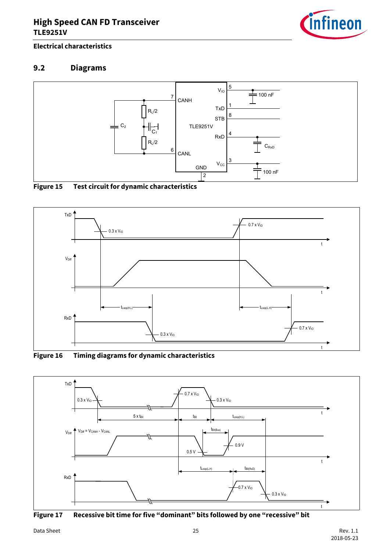

### **Electrical characteristics**

## <span id="page-24-0"></span>**9.2 Diagrams**



**Figure 15 Test circuit for dynamic characteristics**



<span id="page-24-3"></span><span id="page-24-1"></span>**Figure 16 Timing diagrams for dynamic characteristics**



<span id="page-24-2"></span>**Figure 17 Recessive bit time for five "dominant" bits followed by one "recessive" bit**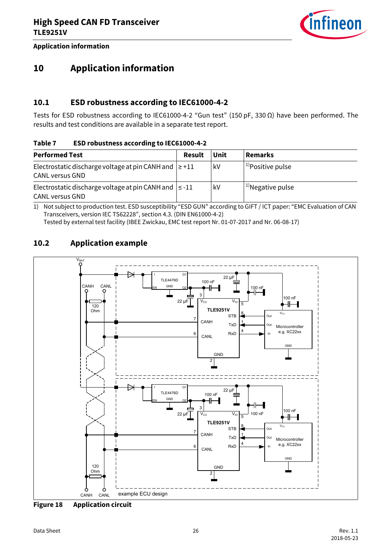<span id="page-25-4"></span>

**Application information**

## <span id="page-25-0"></span>**10 Application information**

## <span id="page-25-1"></span>**10.1 ESD robustness according to IEC61000-4-2**

Tests for ESD robustness according to IEC61000-4-2 "Gun test" (150 pF, 330 Ω) have been performed. The results and test conditions are available in a separate test report.

### **Table 7 ESD robustness according to IEC61000-4-2**

| <b>Performed Test</b>                                                                | <b>Result</b> | Unit | <b>Remarks</b>               |
|--------------------------------------------------------------------------------------|---------------|------|------------------------------|
| Electrostatic discharge voltage at pin CANH and $ z+11 $<br><b>CANL versus GND</b>   |               | kV   | $1^{11}$ Positive pulse      |
| Electrostatic discharge voltage at pin CANH and $\leq$ -11<br><b>CANL versus GND</b> |               | kV   | <sup>1)</sup> Negative pulse |

1) Not subject to production test. ESD susceptibility "ESD GUN" according to GIFT / ICT paper: "EMC Evaluation of CAN Transceivers, version IEC TS62228", section 4.3. (DIN EN61000-4-2) Tested by external test facility (IBEE Zwickau, EMC test report Nr. 01-07-2017 and Nr. 06-08-17)

## <span id="page-25-2"></span>**10.2 Application example**



<span id="page-25-5"></span><span id="page-25-3"></span>**Figure 18 Application circuit**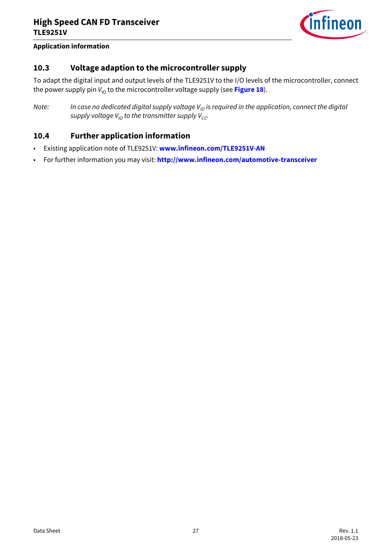

### **Application information**

## <span id="page-26-0"></span>**10.3 Voltage adaption to the microcontroller supply**

To adapt the digital input and output levels of the TLE9251V to the I/O levels of the microcontroller, connect the power supply pin  $V_{10}$  to the microcontroller voltage supply (see **[Figure 18](#page-25-5)**).

*Note:* In case no dedicated digital supply voltage V<sub>IO</sub> is required in the application, connect the digital  $supply voltage V<sub>10</sub>$  to the transmitter supply  $V<sub>CC</sub>$ .

### <span id="page-26-1"></span>**10.4 Further application information**

- Existing application note of TLE9251V: **www.infineon.com/TLE9251V-AN**
- For further information you may visit: **<http://www.infineon.com/automotive-transceiver>**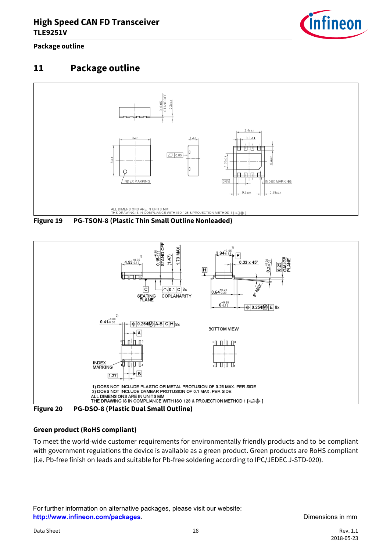

### **Package outline**

## <span id="page-27-0"></span>**11 Package outline**









### **Green product (RoHS compliant)**

To meet the world-wide customer requirements for environmentally friendly products and to be compliant with government regulations the device is available as a green product. Green products are RoHS compliant (i.e. Pb-free finish on leads and suitable for Pb-free soldering according to IPC/JEDEC J-STD-020).

For further information on alternative packages, please visit our website: **http://www.infineon.com/packages**. **Dimensions in mm**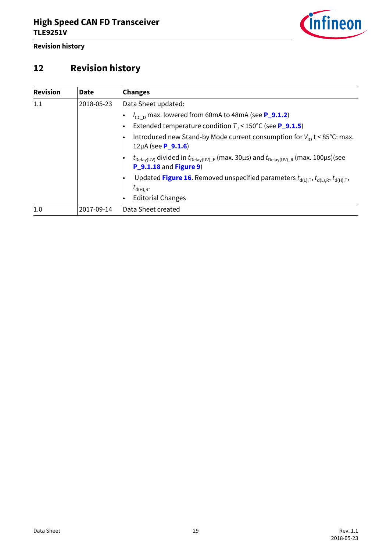

**Revision history**

# <span id="page-28-0"></span>**12 Revision history**

| <b>Revision</b> | Date       | <b>Changes</b>                                                                                                                                                  |  |  |
|-----------------|------------|-----------------------------------------------------------------------------------------------------------------------------------------------------------------|--|--|
| 1.1             | 2018-05-23 | Data Sheet updated:                                                                                                                                             |  |  |
|                 |            | $I_{\text{CC} \, \text{D}}$ max. lowered from 60mA to 48mA (see <b>P_9.1.2</b> )                                                                                |  |  |
|                 |            | Extended temperature condition $T_1$ < 150°C (see <b>P_9.1.5</b> )                                                                                              |  |  |
|                 |            | Introduced new Stand-by Mode current consumption for $V_{10}$ t < 85°C: max.<br>$12\mu A$ (see <b>P_9.1.6</b> )                                                 |  |  |
|                 |            | $t_{\text{Delay(UV)}}$ divided in $t_{\text{Delay(UV)}}$ $_{F}$ (max. 30µs) and $t_{\text{Delay(UV)}}$ $_{R}$ (max. 100µs)(see<br><b>P</b> 9.1.18 and Figure 9) |  |  |
|                 |            | Updated Figure 16. Removed unspecified parameters $t_{d(L),T}$ , $t_{d(L),R}$ , $t_{d(H),T}$ ,<br>$t_{d(H),R}$ .                                                |  |  |
|                 |            | <b>Editorial Changes</b>                                                                                                                                        |  |  |
| 1.0             | 2017-09-14 | Data Sheet created                                                                                                                                              |  |  |